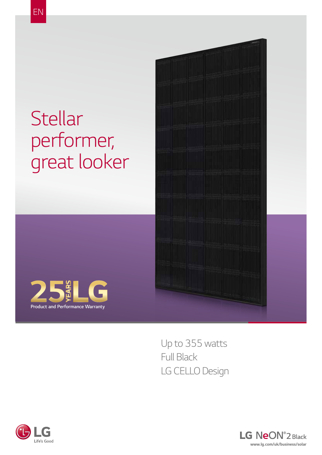## *Stellar performer, great looker*





*Up to 355 watts Full Black LG CELLO Design*



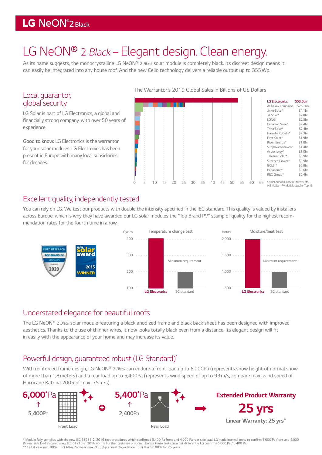### LG NeON<sup>®</sup>2 Black

## *LG NeON® 2 Black – Elegant design. Clean energy.*

*As its name suggests, the monocrystalline LG NeON® 2 Black solar module is completely black. Its discreet design means it can easily be integrated into any house roof. And the new Cello technology delivers a reliable output up to 355Wp.*

#### *Local guarantor, global security*

*LG Solar is part of LG Electronics, a global and*  financially strong company, with over 50 years of *experience.* 

**Good to know:** *LG Electronics is the warrantor for your solar modules. LG Electronics has been present in Europe with many local subsidiaries for decades.*

The Warrantor's 2019 Global Sales in Billions of US Dollars

|   |    |   |    |    |    |    |    | $\sim$ |    |    |    |    | <b>LG Electronics</b>                                                        | \$53.0bn |
|---|----|---|----|----|----|----|----|--------|----|----|----|----|------------------------------------------------------------------------------|----------|
|   |    |   |    |    |    |    |    |        |    |    |    |    | All below combined                                                           | \$26.2bn |
|   |    |   |    |    |    |    |    |        |    |    |    |    | Jinko Solar*                                                                 | \$4.1bn  |
|   |    |   |    |    |    |    |    |        |    |    |    |    | JA Solar*                                                                    | \$2.8bn  |
|   |    |   |    |    |    |    |    |        |    |    |    |    |                                                                              |          |
|   |    |   |    |    |    |    |    |        |    |    |    |    | LONGi                                                                        | \$2.5bn  |
|   |    |   |    |    |    |    |    |        |    |    |    |    | Canadian Solar*                                                              | \$2.4bn  |
|   |    |   |    |    |    |    |    |        |    |    |    |    | Trina Solar*                                                                 | \$2.4bn  |
|   |    |   |    |    |    |    |    |        |    |    |    |    | Hanwha Q Cells*                                                              | \$2.3bn  |
|   |    |   |    |    |    |    |    |        |    |    |    |    | First Solar*                                                                 | \$1.9bn  |
|   |    |   |    |    |    |    |    |        |    |    |    |    |                                                                              |          |
|   |    |   |    |    |    |    |    |        |    |    |    |    | Risen Energy*                                                                | \$1.8bn  |
|   |    |   |    |    |    |    |    |        |    |    |    |    | Sunpower/Maxeon                                                              | \$1.4bn  |
|   |    |   |    |    |    |    |    |        |    |    |    |    | Astronergy*                                                                  | \$1.0bn  |
|   |    |   |    |    |    |    |    |        |    |    |    |    | Talesun Solar*                                                               | \$0.9bn  |
|   |    |   |    |    |    |    |    |        |    |    |    |    | Suntech Power*                                                               | \$0.9bn  |
|   |    |   |    |    |    |    |    |        |    |    |    |    |                                                                              |          |
|   |    |   |    |    |    |    |    |        |    |    |    |    | GCLSI*                                                                       | \$0.8bn  |
|   |    |   |    |    |    |    |    |        |    |    |    |    | Panasonic*                                                                   | \$0.6bn  |
|   |    |   |    |    |    |    |    |        |    |    |    |    | REC Group*                                                                   | \$0.4bn  |
|   |    |   |    |    |    |    |    |        |    |    |    |    |                                                                              |          |
| 5 | 10 | 5 | 20 | 25 | 30 | 35 | 40 | 45     | 50 | 55 | 60 | 65 | *2019 Annual Financial Statements,<br>IHS Markit - PV Module supplier Top 15 |          |

#### *Excellent quality, independently tested*

You can rely on LG. We test our products with double the intensity specified in the IEC standard. This quality is valued by installers across Europe, which is why they have awarded our LG solar modules the "Top Brand PV" stamp of quality for the highest recom*mendation rates for the fourth time in a row.* 



#### *Understated elegance for beautiful roofs*

*The LG NeON® 2 Black solar module featuring a black anodized frame and black back sheet has been designed with improved*  aesthetics. Thanks to the use of thinner wires, it now looks totally black even from a distance. Its elegant design will fit *in easily with the appearance of your home and may increase its value.* 

#### *Powerful design, guaranteed robust (LG Standard)\**

*With reinforced frame design, LG NeON® 2 Black* can endure a front load up to 6,000Pa (represents snow height of normal snow *of more than 1,8 meters) and a rear load up to 5,400Pa (represents wind speed of up to 93 m/s, compare max. wind speed of Hurricane Katrina 2005 of max. 75m/s).*



\* Module fully complies with the new IEC 61215-2: 2016 test procedures which confirmed 5.400 Pa front and 4.000 Pa rear side load. LG made internal tests to confirm 6.000 Pa front and 4.000 Pa rear side load also with new IEC 61215-2: 2016 norms. Further tests are on-going. Unless these tests turn out differently, LG confirms 6.000 Pa / 5.400 Pa.<br>\*\* 1) 1st year. min. 98 %. 2) After 2nd year. max. 0.33 % p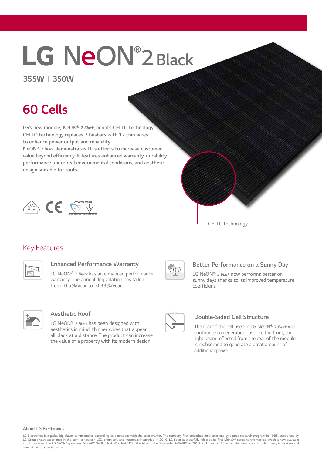# **LG NeON®2 Black**

#### *355W I 350W*

## *60 Cells*

*LG's new module, NeON® 2* **Black***, adopts CELLO* **technology.**  *CELLO* **technology replaces 3 busbars with 12 thin wires to enhance power output and reliability.** 

*NeON® 2* **Black** *demonstrates LG's efforts to increase customer*  **value beyond efficiency. It features enhanced warranty, durability,**  *performance under real environmental conditions, and aesthetic*  **design suitable for roofs.**





#### *Key Features*



#### **Enhanced Performance Warranty**

*LG NeON® 2 Black has an enhanced performance warranty. The annual degradation has fallen from -0.5%/year to -0.33%/year.*



#### **Better Performance on a Sunny Day**

*LG NeON® 2 Black now performs better on sunny days thanks to its improved temperature*  coefficient.



#### *Aesthetic Roof*

*LG NeON® 2 Black has been designed with aesthetics in mind; thinner wires that appear all black at a distance. The product can increase the value of a property with its modern design.*



#### *Double-Sided Cell Structure*

*The rear of the cell used in LG NeON® 2 Black will contribute to generation, just like the front; the*  light beam reflected from the rear of the module *is reabsorbed to generate a great amount of additional power.*

#### *About LG Electronics*

LG Electronics is a global big player, committed to expanding its operations with the solar market. The company first embarked on a solar energy source research program in 1985, supported by<br>LG Grountries. The LG NeON® (p *commitment to the industry.*